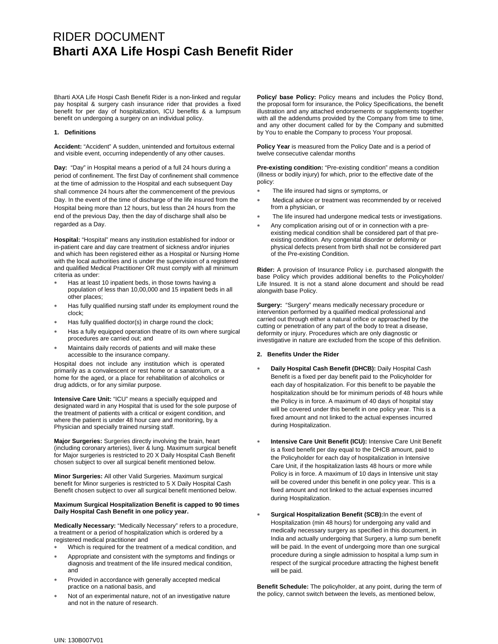# RIDER DOCUMENT **Bharti AXA Life Hospi Cash Benefit Rider**

Bharti AXA Life Hospi Cash Benefit Rider is a non-linked and regular pay hospital & surgery cash insurance rider that provides a fixed benefit for per day of hospitalization, ICU benefits & a lumpsum benefit on undergoing a surgery on an individual policy.

#### **1. Definitions**

**Accident:** "Accident" A sudden, unintended and fortuitous external and visible event, occurring independently of any other causes.

**Day:** "Day" in Hospital means a period of a full 24 hours during a period of confinement. The first Day of confinement shall commence at the time of admission to the Hospital and each subsequent Day shall commence 24 hours after the commencement of the previous Day. In the event of the time of discharge of the life insured from the Hospital being more than 12 hours, but less than 24 hours from the end of the previous Day, then the day of discharge shall also be regarded as a Day.

**Hospital:** "Hospital" means any institution established for indoor or in-patient care and day care treatment of sickness and/or injuries and which has been registered either as a Hospital or Nursing Home with the local authorities and is under the supervision of a registered and qualified Medical Practitioner OR must comply with all minimum criteria as under:

- Has at least 10 inpatient beds, in those towns having a population of less than 10,00,000 and 15 inpatient beds in all other places;
- Has fully qualified nursing staff under its employment round the clock;
- Has fully qualified doctor(s) in charge round the clock;
- Has a fully equipped operation theatre of its own where surgical procedures are carried out; and
- Maintains daily records of patients and will make these accessible to the insurance company.

Hospital does not include any institution which is operated primarily as a convalescent or rest home or a sanatorium, or a home for the aged, or a place for rehabilitation of alcoholics or drug addicts, or for any similar purpose.

**Intensive Care Unit:** "ICU" means a specially equipped and designated ward in any Hospital that is used for the sole purpose of the treatment of patients with a critical or exigent condition, and where the patient is under 48 hour care and monitoring, by a Physician and specially trained nursing staff.

**Major Surgeries:** Surgeries directly involving the brain, heart (including coronary arteries), liver & lung. Maximum surgical benefit for Major surgeries is restricted to 20 X Daily Hospital Cash Benefit chosen subject to over all surgical benefit mentioned below.

**Minor Surgeries:** All other Valid Surgeries. Maximum surgical benefit for Minor surgeries is restricted to 5 X Daily Hospital Cash Benefit chosen subject to over all surgical benefit mentioned below.

#### **Maximum Surgical Hospitalization Benefit is capped to 90 times Daily Hospital Cash Benefit in one policy year.**

**Medically Necessary:** "Medically Necessary" refers to a procedure, a treatment or a period of hospitalization which is ordered by a registered medical practitioner and

- Which is required for the treatment of a medical condition, and
- Appropriate and consistent with the symptoms and findings or diagnosis and treatment of the life insured medical condition, and
- Provided in accordance with generally accepted medical practice on a national basis, and
- Not of an experimental nature, not of an investigative nature and not in the nature of research.

**Policy/ base Policy:** Policy means and includes the Policy Bond, the proposal form for insurance, the Policy Specifications, the benefit illustration and any attached endorsements or supplements together with all the addendums provided by the Company from time to time, and any other document called for by the Company and submitted by You to enable the Company to process Your proposal.

**Policy Year** is measured from the Policy Date and is a period of twelve consecutive calendar months

**Pre-existing condition:** "Pre-existing condition" means a condition (illness or bodily injury) for which, prior to the effective date of the policy:

- The life insured had signs or symptoms, or
- Medical advice or treatment was recommended by or received from a physician, or
- The life insured had undergone medical tests or investigations.
- Any complication arising out of or in connection with a preexisting medical condition shall be considered part of that preexisting condition. Any congenital disorder or deformity or physical defects present from birth shall not be considered part of the Pre-existing Condition.

**Rider:** A provision of Insurance Policy i.e. purchased alongwith the base Policy which provides additional benefits to the Policyholder/ Life Insured. It is not a stand alone document and should be read alongwith base Policy.

**Surgery:** "Surgery" means medically necessary procedure or intervention performed by a qualified medical professional and carried out through either a natural orifice or approached by the cutting or penetration of any part of the body to treat a disease, deformity or injury. Procedures which are only diagnostic or investigative in nature are excluded from the scope of this definition.

### **2. Benefits Under the Rider**

- ∗ **Daily Hospital Cash Benefit (DHCB):** Daily Hospital Cash Benefit is a fixed per day benefit paid to the Policyholder for each day of hospitalization. For this benefit to be payable the hospitalization should be for minimum periods of 48 hours while the Policy is in force. A maximum of 40 days of hospital stay will be covered under this benefit in one policy year. This is a fixed amount and not linked to the actual expenses incurred during Hospitalization.
- Intensive Care Unit Benefit (ICU): Intensive Care Unit Benefit is a fixed benefit per day equal to the DHCB amount, paid to the Policyholder for each day of hospitalization in Intensive Care Unit, if the hospitalization lasts 48 hours or more while Policy is in force. A maximum of 10 days in Intensive unit stay will be covered under this benefit in one policy year. This is a fixed amount and not linked to the actual expenses incurred during Hospitalization.
- **Surgical Hospitalization Benefit (SCB):In the event of** Hospitalization (min 48 hours) for undergoing any valid and medically necessary surgery as specified in this document, in India and actually undergoing that Surgery, a lump sum benefit will be paid. In the event of undergoing more than one surgical procedure during a single admission to hospital a lump sum in respect of the surgical procedure attracting the highest benefit will be paid.

**Benefit Schedule:** The policyholder, at any point, during the term of the policy, cannot switch between the levels, as mentioned below,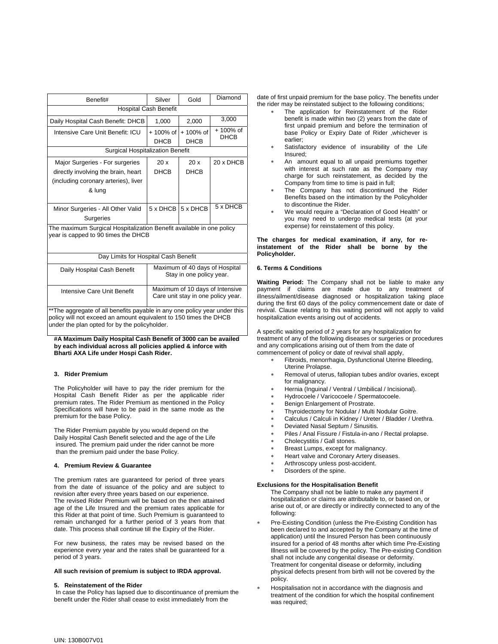| Benefit#                                                                                                    | Silver                                                                | Gold                      | Diamond                  |  |
|-------------------------------------------------------------------------------------------------------------|-----------------------------------------------------------------------|---------------------------|--------------------------|--|
| <b>Hospital Cash Benefit</b>                                                                                |                                                                       |                           |                          |  |
| Daily Hospital Cash Benefit: DHCB                                                                           | 1,000                                                                 | 2,000                     | 3,000                    |  |
| Intensive Care Unit Benefit: ICU                                                                            | $+100%$ of<br><b>DHCB</b>                                             | $+100%$ of<br><b>DHCB</b> | + 100% of<br><b>DHCB</b> |  |
| Surgical Hospitalization Benefit                                                                            |                                                                       |                           |                          |  |
| Major Surgeries - For surgeries                                                                             | 20x                                                                   | 20x                       | 20 x DHCB                |  |
| directly involving the brain, heart                                                                         | <b>DHCB</b>                                                           | <b>DHCB</b>               |                          |  |
| (including coronary arteries), liver                                                                        |                                                                       |                           |                          |  |
| & lung                                                                                                      |                                                                       |                           |                          |  |
|                                                                                                             |                                                                       |                           |                          |  |
| Minor Surgeries - All Other Valid                                                                           | 5 x DHCB                                                              | 5 x DHCB                  | 5 x DHCB                 |  |
| <b>Surgeries</b>                                                                                            |                                                                       |                           |                          |  |
| The maximum Surgical Hospitalization Benefit available in one policy<br>year is capped to 90 times the DHCB |                                                                       |                           |                          |  |
| Day Limits for Hospital Cash Benefit                                                                        |                                                                       |                           |                          |  |
|                                                                                                             |                                                                       |                           |                          |  |
| Daily Hospital Cash Benefit                                                                                 | Maximum of 40 days of Hospital<br>Stay in one policy year.            |                           |                          |  |
| Intensive Care Unit Benefit                                                                                 | Maximum of 10 days of Intensive<br>Care unit stay in one policy year. |                           |                          |  |
| **The aggregate of all benefits payable in any one policy year under this                                   |                                                                       |                           |                          |  |

policy will not exceed an amount equivalent to 150 times the DHCB under the plan opted for by the policyholder.

**#A Maximum Daily Hospital Cash Benefit of 3000 can be availed by each individual across all policies applied & inforce with Bharti AXA Life under Hospi Cash Rider.** 

#### **3. Rider Premium**

The Policyholder will have to pay the rider premium for the Hospital Cash Benefit Rider as per the applicable rider premium rates. The Rider Premium as mentioned in the Policy Specifications will have to be paid in the same mode as the premium for the base Policy.

The Rider Premium payable by you would depend on the Daily Hospital Cash Benefit selected and the age of the Life insured. The premium paid under the rider cannot be more than the premium paid under the base Policy.

#### **4. Premium Review & Guarantee**

The premium rates are guaranteed for period of three years from the date of issuance of the policy and are subject to revision after every three years based on our experience. The revised Rider Premium will be based on the then attained age of the Life Insured and the premium rates applicable for this Rider at that point of time. Such Premium is guaranteed to remain unchanged for a further period of 3 years from that date. This process shall continue till the Expiry of the Rider.

For new business, the rates may be revised based on the experience every year and the rates shall be guaranteed for a period of 3 years.

#### **All such revision of premium is subject to IRDA approval.**

#### **5. Reinstatement of the Rider**

 In case the Policy has lapsed due to discontinuance of premium the benefit under the Rider shall cease to exist immediately from the

date of first unpaid premium for the base policy. The benefits under the rider may be reinstated subject to the following conditions;

- The application for Reinstatement of the Rider benefit is made within two (2) years from the date of first unpaid premium and before the termination of base Policy or Expiry Date of Rider ,whichever is earlier;
- Satisfactory evidence of insurability of the Life Insured;
- An amount equal to all unpaid premiums together with interest at such rate as the Company may charge for such reinstatement, as decided by the Company from time to time is paid in full;
- The Company has not discontinued the Rider Benefits based on the intimation by the Policyholder to discontinue the Rider.
- ∗ We would require a "Declaration of Good Health" or you may need to undergo medical tests (at your expense) for reinstatement of this policy.

#### **The charges for medical examination, if any, for reinstatement of the Rider shall be borne by the Policyholder.**

#### **6. Terms & Conditions**

**Waiting Period:** The Company shall not be liable to make any payment if claims are made due to any treatment of illness/ailment/disease diagnosed or hospitalization taking place during the first 60 days of the policy commencement date or date of revival. Clause relating to this waiting period will not apply to valid hospitalization events arising out of accidents.

A specific waiting period of 2 years for any hospitalization for treatment of any of the following diseases or surgeries or procedures and any complications arising out of them from the date of commencement of policy or date of revival shall apply,

- Fibroids, menorrhagia, Dysfunctional Uterine Bleeding, Uterine Prolapse.
- Removal of uterus, fallopian tubes and/or ovaries, except for malignancy.
- ∗ Hernia (Inguinal / Ventral / Umbilical / Incisional).
- ∗ Hydrocoele / Varicocoele / Spermatocoele.
- Benign Enlargement of Prostrate.
- Thyroidectomy for Nodular / Multi Nodular Goitre.
- Calculus / Calculi in Kidney / Ureter / Bladder / Urethra.
- Deviated Nasal Septum / Sinusitis.
	- Piles / Anal Fissure / Fistula-in-ano / Rectal prolapse.
	- Cholecystitis / Gall stones.
	- Breast Lumps, except for malignancy.
	- Heart valve and Coronary Artery diseases.
	- Arthroscopy unless post-accident.
	- Disorders of the spine.

#### **Exclusions for the Hospitalisation Benefit**

- The Company shall not be liable to make any payment if hospitalization or claims are attributable to, or based on, or arise out of, or are directly or indirectly connected to any of the following:
- Pre-Existing Condition (unless the Pre-Existing Condition has been declared to and accepted by the Company at the time of application) until the Insured Person has been continuously insured for a period of 48 months after which time Pre-Existing Illness will be covered by the policy. The Pre-existing Condition shall not include any congenital disease or deformity. Treatment for congenital disease or deformity, including physical defects present from birth will not be covered by the policy.
- Hospitalisation not in accordance with the diagnosis and treatment of the condition for which the hospital confinement was required: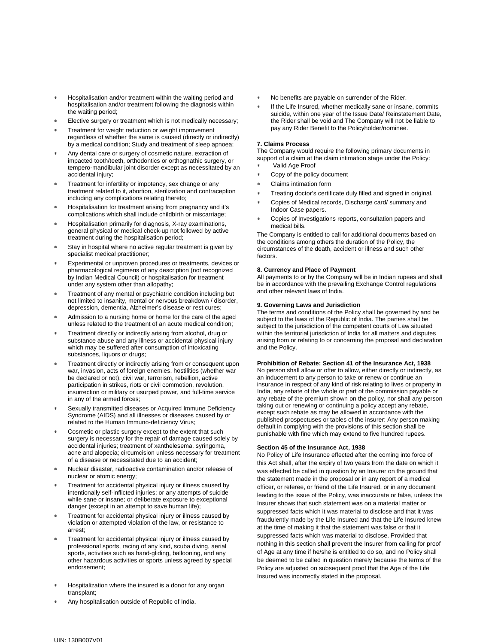- ∗ Hospitalisation and/or treatment within the waiting period and hospitalisation and/or treatment following the diagnosis within the waiting period;
- Elective surgery or treatment which is not medically necessary;
- Treatment for weight reduction or weight improvement regardless of whether the same is caused (directly or indirectly) by a medical condition; Study and treatment of sleep apnoea;
- Any dental care or surgery of cosmetic nature, extraction of impacted tooth/teeth, orthodontics or orthognathic surgery, or tempero-mandibular joint disorder except as necessitated by an accidental injury;
- Treatment for infertility or impotency, sex change or any treatment related to it, abortion, sterilization and contraception including any complications relating thereto;
- ∗ Hospitalisation for treatment arising from pregnancy and it's complications which shall include childbirth or miscarriage;
- Hospitalisation primarily for diagnosis, X-ray examinations, general physical or medical check-up not followed by active treatment during the hospitalisation period;
- Stay in hospital where no active regular treatment is given by specialist medical practitioner;
- Experimental or unproven procedures or treatments, devices or pharmacological regimens of any description (not recognized by Indian Medical Council) or hospitalisation for treatment under any system other than allopathy;
- Treatment of any mental or psychiatric condition including but not limited to insanity, mental or nervous breakdown / disorder, depression, dementia, Alzheimer's disease or rest cures;
- Admission to a nursing home or home for the care of the aged unless related to the treatment of an acute medical condition;
- Treatment directly or indirectly arising from alcohol, drug or substance abuse and any illness or accidental physical injury which may be suffered after consumption of intoxicating substances, liquors or drugs;
- Treatment directly or indirectly arising from or consequent upon war, invasion, acts of foreign enemies, hostilities (whether war be declared or not), civil war, terrorism, rebellion, active participation in strikes, riots or civil commotion, revolution, insurrection or military or usurped power, and full-time service in any of the armed forces;
- Sexually transmitted diseases or Acquired Immune Deficiency Syndrome (AIDS) and all illnesses or diseases caused by or related to the Human Immuno-deficiency Virus;
- Cosmetic or plastic surgery except to the extent that such surgery is necessary for the repair of damage caused solely by accidental injuries; treatment of xanthelesema, syringoma, acne and alopecia; circumcision unless necessary for treatment of a disease or necessitated due to an accident;
- Nuclear disaster, radioactive contamination and/or release of nuclear or atomic energy;
- Treatment for accidental physical injury or illness caused by intentionally self-inflicted injuries; or any attempts of suicide while sane or insane; or deliberate exposure to exceptional danger (except in an attempt to save human life);
- Treatment for accidental physical injury or illness caused by violation or attempted violation of the law, or resistance to arrest;
- Treatment for accidental physical injury or illness caused by professional sports, racing of any kind, scuba diving, aerial sports, activities such as hand-gliding, ballooning, and any other hazardous activities or sports unless agreed by special endorsement;
- Hospitalization where the insured is a donor for any organ transplant;
- Any hospitalisation outside of Republic of India.
- No benefits are payable on surrender of the Rider.
- If the Life Insured, whether medically sane or insane, commits suicide, within one year of the Issue Date/ Reinstatement Date, the Rider shall be void and The Company will not be liable to pay any Rider Benefit to the Policyholder/nominee.

#### **7. Claims Process**

The Company would require the following primary documents in support of a claim at the claim intimation stage under the Policy:

- Valid Age Proof
- Copy of the policy document
- Claims intimation form
- Treating doctor's certificate duly filled and signed in original.
- Copies of Medical records, Discharge card/ summary and Indoor Case papers.
- Copies of Investigations reports, consultation papers and medical bills.

The Company is entitled to call for additional documents based on the conditions among others the duration of the Policy, the circumstances of the death, accident or illness and such other factors.

#### **8. Currency and Place of Payment**

All payments to or by the Company will be in Indian rupees and shall be in accordance with the prevailing Exchange Control regulations and other relevant laws of India.

#### **9. Governing Laws and Jurisdiction**

The terms and conditions of the Policy shall be governed by and be subject to the laws of the Republic of India. The parties shall be subject to the jurisdiction of the competent courts of Law situated within the territorial jurisdiction of India for all matters and disputes arising from or relating to or concerning the proposal and declaration and the Policy.

#### **Prohibition of Rebate: Section 41 of the Insurance Act, 1938**

No person shall allow or offer to allow, either directly or indirectly, as an inducement to any person to take or renew or continue an insurance in respect of any kind of risk relating to lives or property in India, any rebate of the whole or part of the commission payable or any rebate of the premium shown on the policy, nor shall any person taking out or renewing or continuing a policy accept any rebate, except such rebate as may be allowed in accordance with the published prospectuses or tables of the insurer: Any person making default in complying with the provisions of this section shall be punishable with fine which may extend to five hundred rupees.

#### **Section 45 of the Insurance Act, 1938**

No Policy of Life Insurance effected after the coming into force of this Act shall, after the expiry of two years from the date on which it was effected be called in question by an Insurer on the ground that the statement made in the proposal or in any report of a medical officer, or referee, or friend of the Life Insured, or in any document leading to the issue of the Policy, was inaccurate or false, unless the Insurer shows that such statement was on a material matter or suppressed facts which it was material to disclose and that it was fraudulently made by the Life Insured and that the Life Insured knew at the time of making it that the statement was false or that it suppressed facts which was material to disclose. Provided that nothing in this section shall prevent the Insurer from calling for proof of Age at any time if he/she is entitled to do so, and no Policy shall be deemed to be called in question merely because the terms of the Policy are adjusted on subsequent proof that the Age of the Life Insured was incorrectly stated in the proposal.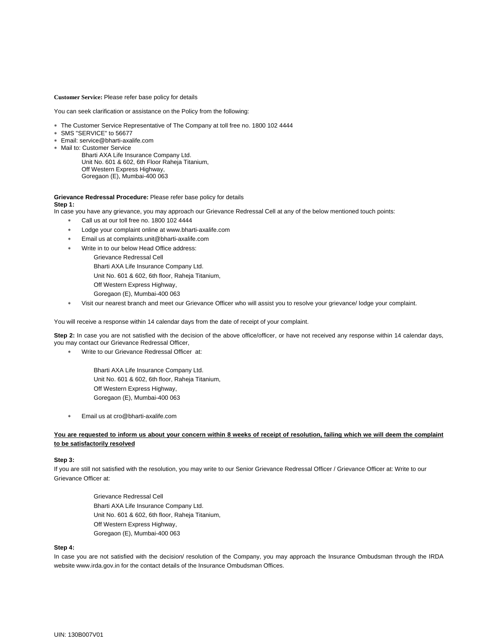**Customer Service:** Please refer base policy for details

You can seek clarification or assistance on the Policy from the following:

- ∗ The Customer Service Representative of The Company at toll free no. 1800 102 4444
- ∗ SMS "SERVICE" to 56677
- ∗ Email: service@bharti-axalife.com
- ∗ Mail to: Customer Service
	- Bharti AXA Life Insurance Company Ltd. Unit No. 601 & 602, 6th Floor Raheja Titanium, Off Western Express Highway, Goregaon (E), Mumbai-400 063

#### **Grievance Redressal Procedure:** Please refer base policy for details **Step 1:**

In case you have any grievance, you may approach our Grievance Redressal Cell at any of the below mentioned touch points:

- ∗ Call us at our toll free no. 1800 102 4444
- Lodge your complaint online at www.bharti-axalife.com
- Email us at complaints.unit@bharti-axalife.com
- Write in to our below Head Office address:
	- Grievance Redressal Cell
		- Bharti AXA Life Insurance Company Ltd.
	- Unit No. 601 & 602, 6th floor, Raheja Titanium,
	- Off Western Express Highway,
	- Goregaon (E), Mumbai-400 063
- ∗ Visit our nearest branch and meet our Grievance Officer who will assist you to resolve your grievance/ lodge your complaint.

You will receive a response within 14 calendar days from the date of receipt of your complaint.

**Step 2:** In case you are not satisfied with the decision of the above office/officer, or have not received any response within 14 calendar days, you may contact our Grievance Redressal Officer,

- ∗ Write to our Grievance Redressal Officer at:
	- Bharti AXA Life Insurance Company Ltd. Unit No. 601 & 602, 6th floor, Raheja Titanium, Off Western Express Highway, Goregaon (E), Mumbai-400 063
- ∗ Email us at cro@bharti-axalife.com

## **You are requested to inform us about your concern within 8 weeks of receipt of resolution, failing which we will deem the complaint to be satisfactorily resolved**

#### **Step 3:**

If you are still not satisfied with the resolution, you may write to our Senior Grievance Redressal Officer / Grievance Officer at: Write to our Grievance Officer at:

> Grievance Redressal Cell Bharti AXA Life Insurance Company Ltd. Unit No. 601 & 602, 6th floor, Raheja Titanium, Off Western Express Highway, Goregaon (E), Mumbai-400 063

#### **Step 4:**

In case you are not satisfied with the decision/ resolution of the Company, you may approach the Insurance Ombudsman through the IRDA website www.irda.gov.in for the contact details of the Insurance Ombudsman Offices.